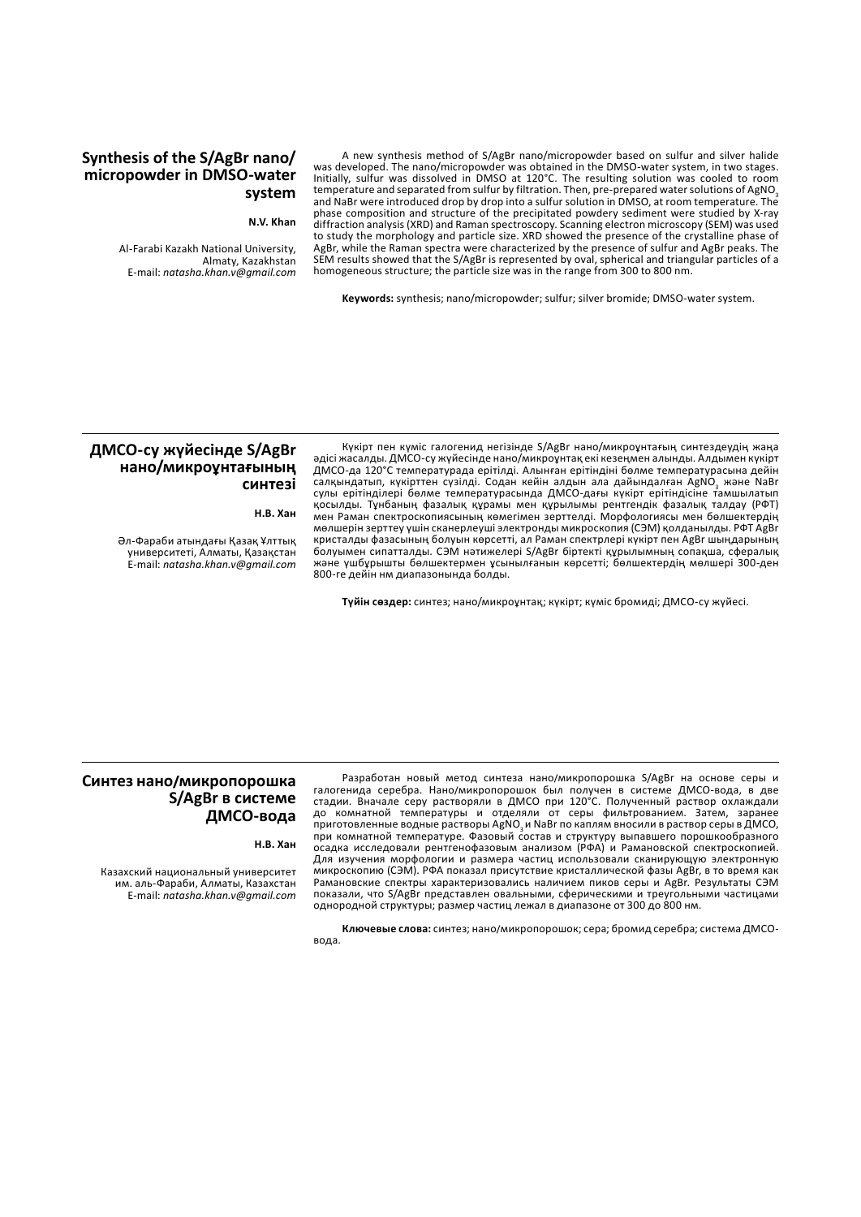# **Synthesis of the S/AgBr nano/ micropowder in DMSO-water system**

#### **N.V. Khan**

Al-Farabi Kazakh National University, Almaty, Kazakhstan E-mail: *natasha.khan.v@gmail.com*

A new synthesis method of S/AgBr nano/micropowder based on sulfur and silver halide was developed. The nano/micropowder was obtained in the DMSO-water system, in two stages. Initially, sulfur was dissolved in DMSO at 120°C. The resulting solution was cooled to room temperature and separated from sulfur by filtration. Then, pre-prepared water solutions of AgNO<sub>3</sub> and NaBr were introduced drop by drop into a sulfur solution in DMSO, at room temperature. The phase composition and structure of the precipitated powdery sediment were studied by X-ray diffraction analysis (XRD) and Raman spectroscopy. Scanning electron microscopy (SEM) was used to study the morphology and particle size. XRD showed the presence of the crystalline phase of AgBr, while the Raman spectra were characterized by the presence of sulfur and AgBr peaks. The SEM results showed that the S/AgBr is represented by oval, spherical and triangular particles of a homogeneous structure; the particle size was in the range from 300 to 800 nm.

**Keywords:** synthesis; nano/micropowder; sulfur; silver bromide; DMSO-water system.

# **ДМСО-су жүйесінде S/AgBr нано/микроұнтағының синтезі**

**Н.В. Хан**

Әл-Фараби атындағы Қазақ Ұлттық университеті, Алматы, Қазақстан E-mail: *natasha.khan.v@gmail.com*

Күкірт пен күміс галогенид негізінде S/AgBr нано/микроұнтағың синтездеудің жаңа әдісі жасалды. ДМСО-су жүйесінде нано/микроұнтақ екі кезеңмен алынды. Алдымен күкірт ДМСО-да 120°C температурада ерітілді. Алынған ерітіндіні бөлме температурасына дейін салқындатып, күкірттен сүзілді. Содан кейін алдын ала дайындалған AgNO<sub>3</sub> және NaBr сулы ерітінділері бөлме температурасында ДМСО-дағы күкірт ерітіндісіне тамшылатып қосылды. Тұнбаның фазалық құрамы мен құрылымы рентгендік фазалық талдау (РФТ) мен Раман спектроскопиясының көмегімен зерттелді. Морфологиясы мен бөлшектердің мөлшерін зерттеу үшін сканерлеуші электронды микроскопия (СЭМ) қолданылды. РФТ AgBr кристалды фазасының болуын көрсетті, ал Раман спектрлері күкірт пен AgBr шыңдарының болуымен сипатталды. СЭМ нәтижелері S/AgBr біртекті құрылымның сопақша, сфералық және үшбұрышты бөлшектермен ұсынылғанын көрсетті; бөлшектердің мөлшері 300-ден 800-ге дейін нм диапазонында болды.

**Түйін сөздер:** синтез; нано/микроұнтақ; күкірт; күміс бромиді; ДМСО-су жүйесі.

# **Синтез нано/микропорошка S/AgBr в системе ДМСО-вода**

**Н.В. Хан**

Казахский национальный университет им. аль-Фараби, Алматы, Казахстан E-mail: *natasha.khan.v@gmail.com*

Разработан новый метод синтеза нано/микропорошка S/AgBr на основе серы и галогенида серебра. Нано/микропорошок был получен в системе ДМСО-вода, в две стадии. Вначале серу растворяли в ДМСО при 120°C. Полученный раствор охлаждали до комнатной температуры и отделяли от серы фильтрованием. Затем, заранее приготовленные водные растворы AgNO<sub>3</sub> и NaBr по каплям вносили в раствор серы в ДМСО, при комнатной температуре. Фазовый состав и структуру выпавшего порошкообразного осадка исследовали рентгенофазовым анализом (РФА) и Рамановской спектроскопией. Для изучения морфологии и размера частиц использовали сканирующую электронную микроскопию (СЭМ). РФА показал присутствие кристаллической фазы AgBr, в то время как Рамановские спектры характеризовались наличием пиков серы и AgBr. Результаты СЭМ показали, что S/AgBr представлен овальными, сферическими и треугольными частицами однородной структуры; размер частиц лежал в диапазоне от 300 до 800 нм.

**Ключевые слова:** синтез; нано/микропорошок; сера; бромид серебра; система ДМСОвода.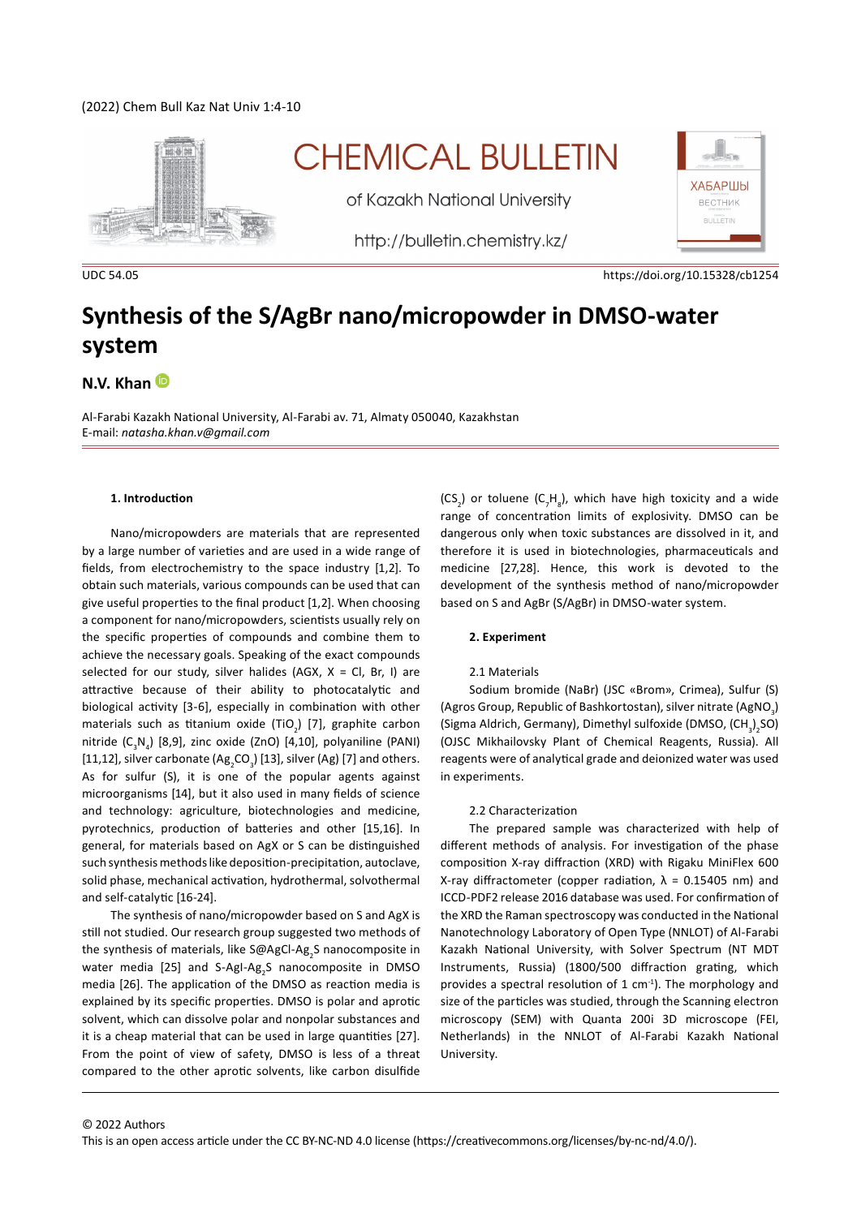# (2022) Chem Bull Kaz Nat Univ 1:4-10



# **CHEMICAL BULLETIN**

of Kazakh National University

http://bulletin.chemistry.kz/



UDC 54.05 https://doi.org/10.15328/cb1254

# **Synthesis of the S/AgBr nano/micropowder in DMSO-water system**

# **N.V. Khan**

Al-Farabi Kazakh National University, Al-Farabi av. 71, Almaty 050040, Kazakhstan E-mail: *natasha.khan.v@gmail.com*

#### **1. Introduction**

Nano/micropowders are materials that are represented by a large number of varieties and are used in a wide range of fields, from electrochemistry to the space industry [1,2]. To obtain such materials, various compounds can be used that can give useful properties to the final product [1,2]. When choosing a component for nano/micropowders, scientists usually rely on the specific properties of compounds and combine them to achieve the necessary goals. Speaking of the exact compounds selected for our study, silver halides (AGX,  $X = CI$ , Br, I) are attractive because of their ability to photocatalytic and biological activity [3-6], especially in combination with other materials such as titanium oxide (TiO<sub>2</sub>) [7], graphite carbon nitride (C<sub>3</sub>N<sub>4</sub>) [8,9], zinc oxide (ZnO) [4,10], polyaniline (PANI) [11,12], silver carbonate (Ag<sub>2</sub>CO<sub>3</sub>) [13], silver (Ag) [7] and others. As for sulfur (S), it is one of the popular agents against microorganisms [14], but it also used in many fields of science and technology: agriculture, biotechnologies and medicine, pyrotechnics, production of batteries and other [15,16]. In general, for materials based on AgX or S can be distinguished such synthesis methods like deposition-precipitation, autoclave, solid phase, mechanical activation, hydrothermal, solvothermal and self-catalytic [16-24].

The synthesis of nano/micropowder based on S and AgX is still not studied. Our research group suggested two methods of the synthesis of materials, like S@AgCl-Ag<sub>2</sub>S nanocomposite in water media [25] and S-AgI-Ag<sub>2</sub>S nanocomposite in DMSO media [26]. The application of the DMSO as reaction media is explained by its specific properties. DMSO is polar and aprotic solvent, which can dissolve polar and nonpolar substances and it is a cheap material that can be used in large quantities [27]. From the point of view of safety, DMSO is less of a threat compared to the other aprotic solvents, like carbon disulfide

 $(CS_2)$  or toluene  $(C_7H_8)$ , which have high toxicity and a wide range of concentration limits of explosivity. DMSO can be dangerous only when toxic substances are dissolved in it, and therefore it is used in biotechnologies, pharmaceuticals and medicine [27,28]. Hence, this work is devoted to the development of the synthesis method of nano/micropowder based on S and AgBr (S/AgBr) in DMSO-water system.

#### **2. Experiment**

#### 2.1 Materials

Sodium bromide (NaBr) (JSC «Brom», Crimea), Sulfur (S) (Agros Group, Republic of Bashkortostan), silver nitrate (AgNO<sub>3</sub>) (Sigma Aldrich, Germany), Dimethyl sulfoxide (DMSO,  $(\text{CH}_3)_2$ SO) (OJSC Mikhailovsky Plant of Chemical Reagents, Russia). All reagents were of analytical grade and deionized water was used in experiments.

#### 2.2 Characterization

The prepared sample was characterized with help of different methods of analysis. For investigation of the phase composition X-ray diffraction (XRD) with Rigaku MiniFlex 600 X-ray diffractometer (copper radiation,  $λ = 0.15405$  nm) and ICCD-PDF2 release 2016 database was used. For confirmation of the XRD the Raman spectroscopy was conducted in the National Nanotechnology Laboratory of Open Type (NNLOT) of Al-Farabi Kazakh National University, with Solver Spectrum (NT MDT Instruments, Russia) (1800/500 diffraction grating, which provides a spectral resolution of 1 cm $^{-1}$ ). The morphology and size of the particles was studied, through the Scanning electron microscopy (SEM) with Quanta 200i 3D microscope (FEI, Netherlands) in the NNLOT of Al-Farabi Kazakh National University.

This is an open access article under the CC BY-NC-ND 4.0 license (https://creativecommons.org/licenses/by-nc-nd/4.0/).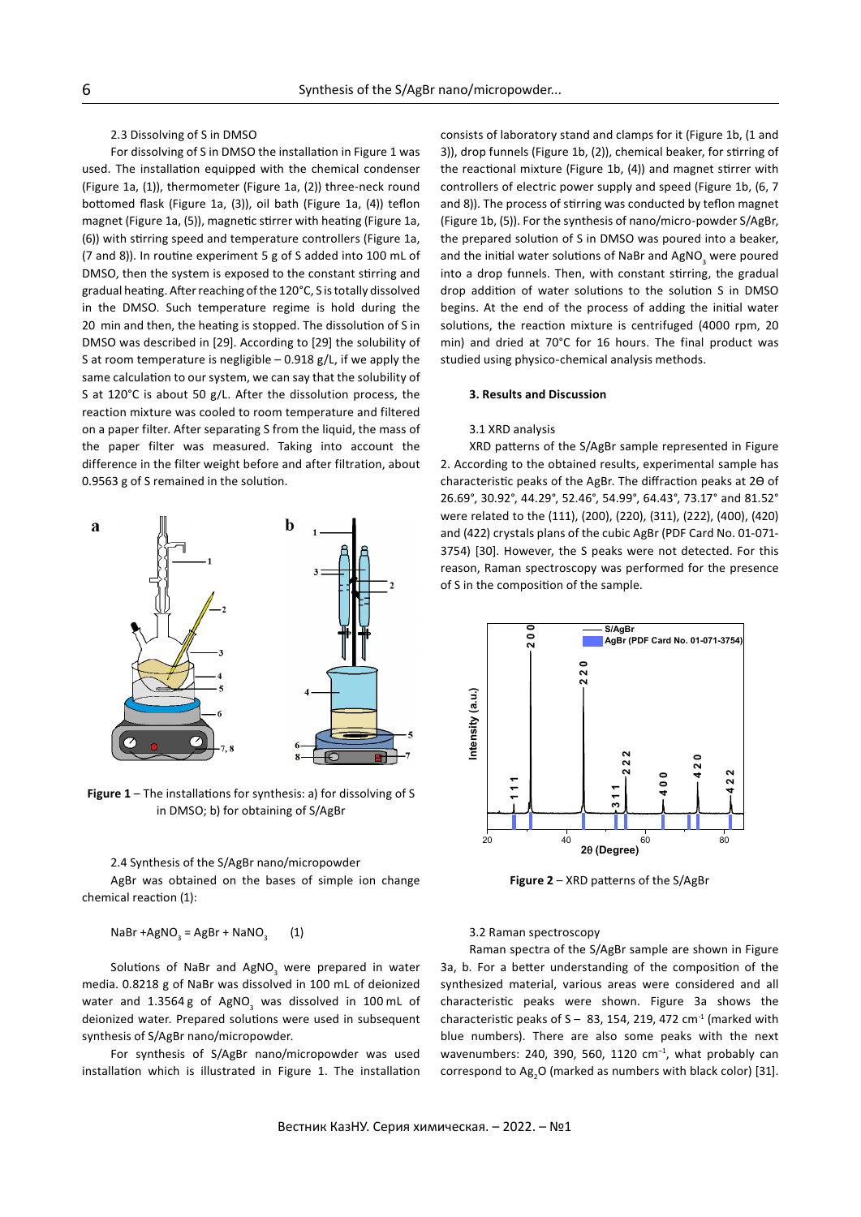# 2.3 Dissolving of S in DMSO

For dissolving of S in DMSO the installation in Figure 1 was used. The installation equipped with the chemical condenser (Figure 1a, (1)), thermometer (Figure 1a, (2)) three-neck round bottomed flask (Figure 1a, (3)), oil bath (Figure 1a, (4)) teflon magnet (Figure 1a, (5)), magnetic stirrer with heating (Figure 1a, (6)) with stirring speed and temperature controllers (Figure 1a, (7 and 8)). In routine experiment 5 g of S added into 100 mL of DMSO, then the system is exposed to the constant stirring and gradual heating. After reaching of the 120°C, S is totally dissolved in the DMSO. Such temperature regime is hold during the 20  min and then, the heating is stopped. The dissolution of S in DMSO was described in [29]. According to [29] the solubility of S at room temperature is negligible  $-0.918$  g/L, if we apply the same calculation to our system, we can say that the solubility of S at 120°C is about 50 g/L. After the dissolution process, the reaction mixture was cooled to room temperature and filtered on a paper filter. After separating S from the liquid, the mass of the paper filter was measured. Taking into account the difference in the filter weight before and after filtration, about 0.9563 g of S remained in the solution.



**Figure 1** – The installations for synthesis: a) for dissolving of S in DMSO; b) for obtaining of S/AgBr

#### 2.4 Synthesis of the S/AgBr nano/micropowder

AgBr was obtained on the bases of simple ion change chemical reaction (1):

 $NaBr + AgNO<sub>3</sub> = AgBr + NaNO<sub>3</sub>$  (1)

Solutions of NaBr and AgNO<sub>3</sub> were prepared in water media. 0.8218 g of NaBr was dissolved in 100 mL of deionized water and 1.3564 g of AgNO<sub>3</sub> was dissolved in 100 mL of deionized water. Prepared solutions were used in subsequent synthesis of S/AgBr nano/micropowder.

For synthesis of S/AgBr nano/micropowder was used installation which is illustrated in Figure 1. The installation consists of laboratory stand and clamps for it (Figure 1b, (1 and 3)), drop funnels (Figure 1b, (2)), chemical beaker, for stirring of the reactional mixture (Figure 1b, (4)) and magnet stirrer with controllers of electric power supply and speed (Figure 1b, (6, 7 and 8)). The process of stirring was conducted by teflon magnet (Figure 1b, (5)). For the synthesis of nano/micro-powder S/AgBr, the prepared solution of S in DMSO was poured into a beaker, and the initial water solutions of NaBr and AgNO<sub>3</sub> were poured into a drop funnels. Then, with constant stirring, the gradual drop addition of water solutions to the solution S in DMSO begins. At the end of the process of adding the initial water solutions, the reaction mixture is centrifuged (4000 rpm, 20 min) and dried at 70°C for 16 hours. The final product was studied using physico-chemical analysis methods.

#### **3. Results and Discussion**

#### 3.1 XRD analysis

XRD patterns of the S/AgBr sample represented in Figure 2. According to the obtained results, experimental sample has characteristic peaks of the AgBr. The diffraction peaks at 2ϴ of 26.69°, 30.92°, 44.29°, 52.46°, 54.99°, 64.43°, 73.17° and 81.52° were related to the (111), (200), (220), (311), (222), (400), (420) and (422) crystals plans of the cubic AgBr (PDF Card No. 01-071- 3754) [30]. However, the S peaks were not detected. For this reason, Raman spectroscopy was performed for the presence of S in the composition of the sample.



**Figure 2** – XRD patterns of the S/AgBr

3.2 Raman spectroscopy

Raman spectra of the S/AgBr sample are shown in Figure 3a, b. For a better understanding of the composition of the synthesized material, various areas were considered and all characteristic peaks were shown. Figure 3a shows the characteristic peaks of  $S - 83$ , 154, 219, 472 cm<sup>-1</sup> (marked with blue numbers). There are also some peaks with the next wavenumbers: 240, 390, 560, 1120  $cm^{-1}$ , what probably can correspond to  $Ag_2O$  (marked as numbers with black color) [31].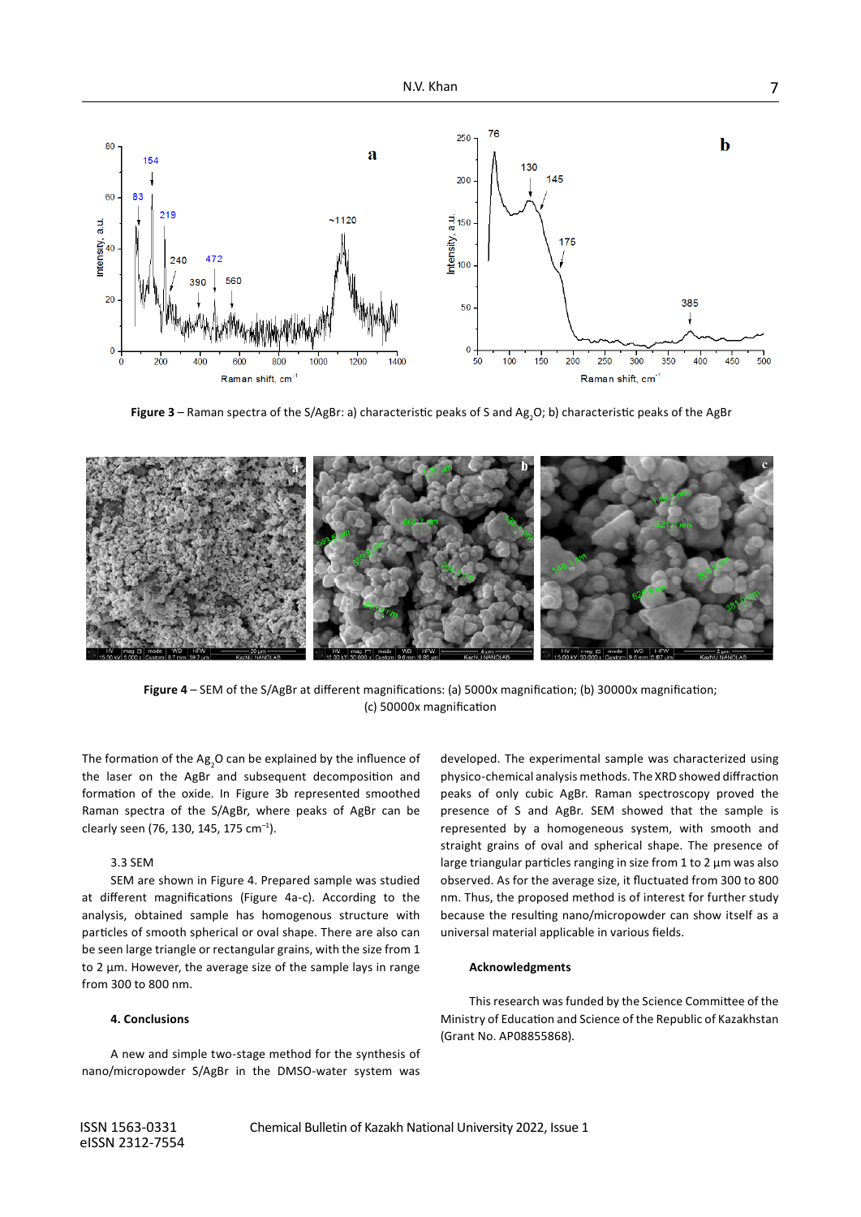

**Figure 3** – Raman spectra of the S/AgBr: a) characteristic peaks of S and Ag<sub>2</sub>O; b) characteristic peaks of the AgBr



**Figure 4** – SEM of the S/AgBr at different magnifications: (a) 5000x magnification; (b) 30000x magnification; (c) 50000x magnification

The formation of the Ag<sub>2</sub>O can be explained by the influence of the laser on the AgBr and subsequent decomposition and formation of the oxide. In Figure 3b represented smoothed Raman spectra of the S/AgBr, where peaks of AgBr can be clearly seen (76, 130, 145, 175 cm–1).

#### 3.3 SEM

SEM are shown in Figure 4. Prepared sample was studied at different magnifications (Figure 4a-c). According to the analysis, obtained sample has homogenous structure with particles of smooth spherical or oval shape. There are also can be seen large triangle or rectangular grains, with the size from 1 to 2 μm. However, the average size of the sample lays in range from 300 to 800 nm.

#### **4. Conclusions**

A new and simple two-stage method for the synthesis of nano/micropowder S/AgBr in the DMSO-water system was developed. The experimental sample was characterized using physico-chemical analysis methods. The XRD showed diffraction peaks of only cubic AgBr. Raman spectroscopy proved the presence of S and AgBr. SEM showed that the sample is represented by a homogeneous system, with smooth and straight grains of oval and spherical shape. The presence of large triangular particles ranging in size from 1 to 2 µm was also observed. As for the average size, it fluctuated from 300 to 800 nm. Thus, the proposed method is of interest for further study because the resulting nano/micropowder can show itself as a universal material applicable in various fields.

#### **Acknowledgments**

This research was funded by the Science Committee of the Ministry of Education and Science of the Republic of Kazakhstan (Grant No. AP08855868).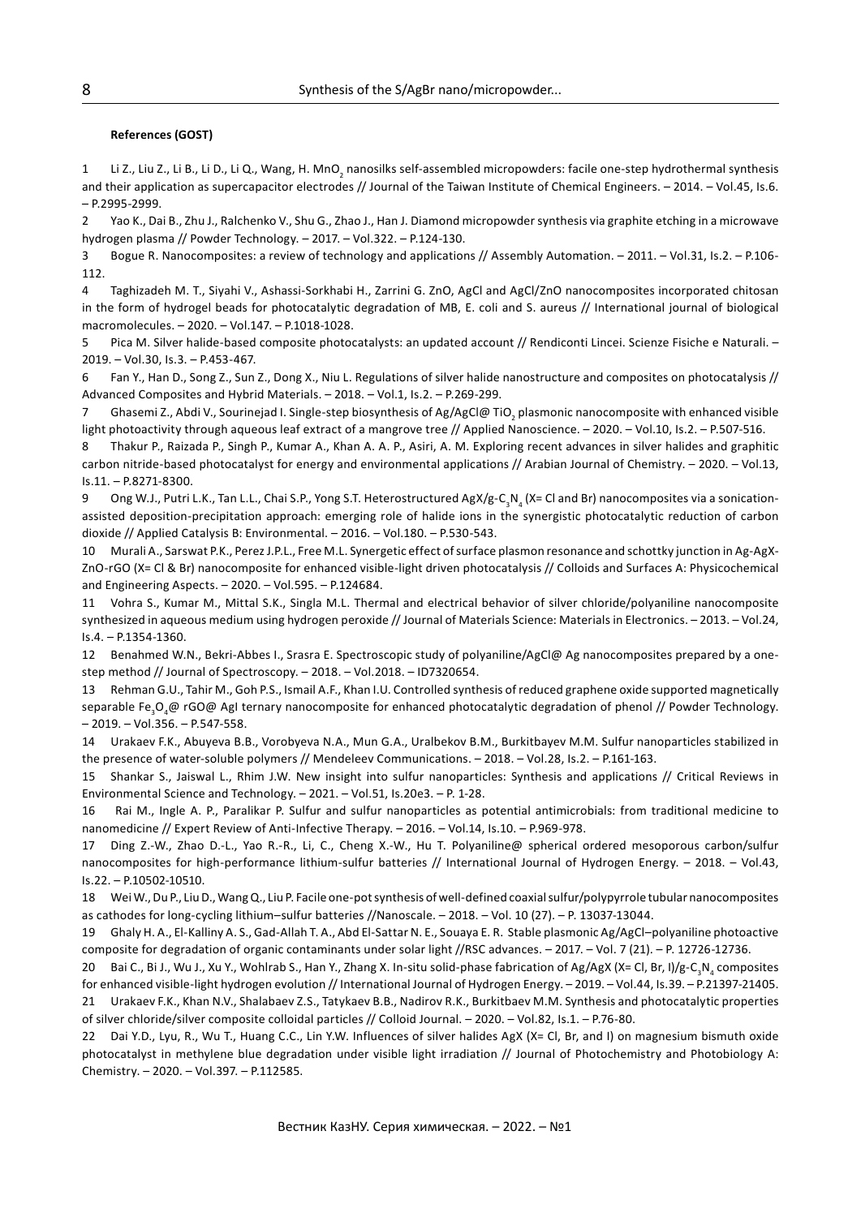### **References (GOST)**

1 Li Z., Liu Z., Li B., Li D., Li Q., Wang, H. MnO<sub>2</sub> nanosilks self-assembled micropowders: facile one-step hydrothermal synthesis and their application as supercapacitor electrodes // Journal of the Taiwan Institute of Chemical Engineers. – 2014. – Vol.45, Is.6. – P.2995-2999.

2 Yao K., Dai B., Zhu J., Ralchenko V., Shu G., Zhao J., Han J. Diamond micropowder synthesis via graphite etching in a microwave hydrogen plasma // Powder Technology. – 2017. – Vol.322. – P.124-130.

3 Bogue R. Nanocomposites: a review of technology and applications // Assembly Automation. – 2011. – Vol.31, Is.2. – P.106- 112.

4 Taghizadeh M. T., Siyahi V., Ashassi-Sorkhabi H., Zarrini G. ZnO, AgCl and AgCl/ZnO nanocomposites incorporated chitosan in the form of hydrogel beads for photocatalytic degradation of MB, E. coli and S. aureus // International journal of biological macromolecules. – 2020. – Vol.147. – P.1018-1028.

5 Pica M. Silver halide-based composite photocatalysts: an updated account // Rendiconti Lincei. Scienze Fisiche e Naturali. – 2019. – Vol.30, Is.3. – P.453-467.

6 Fan Y., Han D., Song Z., Sun Z., Dong X., Niu L. Regulations of silver halide nanostructure and composites on photocatalysis // Advanced Composites and Hybrid Materials. – 2018. – Vol.1, Is.2. – P.269-299.

7 Ghasemi Z., Abdi V., Sourinejad I. Single-step biosynthesis of Ag/AgCl@ TiO<sub>2</sub> plasmonic nanocomposite with enhanced visible light photoactivity through aqueous leaf extract of a mangrove tree // Applied Nanoscience. – 2020. – Vol.10, Is.2. – P.507-516.

8 Thakur P., Raizada P., Singh P., Kumar A., Khan A. A. P., Asiri, A. M. Exploring recent advances in silver halides and graphitic carbon nitride-based photocatalyst for energy and environmental applications // Arabian Journal of Chemistry. – 2020. – Vol.13, Is.11. – P.8271-8300.

9 Ong W.J., Putri L.K., Tan L.L., Chai S.P., Yong S.T. Heterostructured AgX/g-C<sub>3</sub>N<sub>4</sub> (X= Cl and Br) nanocomposites via a sonicationassisted deposition-precipitation approach: emerging role of halide ions in the synergistic photocatalytic reduction of carbon dioxide // Applied Catalysis B: Environmental. – 2016. – Vol.180. – P.530-543.

10 Murali A., Sarswat P.K., Perez J.P.L., Free M.L. Synergetic effect of surface plasmon resonance and schottky junction in Ag-AgX-ZnO-rGO (X= Cl & Br) nanocomposite for enhanced visible-light driven photocatalysis // Colloids and Surfaces A: Physicochemical and Engineering Aspects. – 2020. – Vol.595. – P.124684.

11 Vohra S., Kumar M., Mittal S.K., Singla M.L. Thermal and electrical behavior of silver chloride/polyaniline nanocomposite synthesized in aqueous medium using hydrogen peroxide // Journal of Materials Science: Materials in Electronics. – 2013. – Vol.24, Is.4. – P.1354-1360.

12 Benahmed W.N., Bekri-Abbes I., Srasra E. Spectroscopic study of polyaniline/AgCl@ Ag nanocomposites prepared by a onestep method // Journal of Spectroscopy. – 2018. – Vol.2018. – ID7320654.

13 Rehman G.U., Tahir M., Goh P.S., Ismail A.F., Khan I.U. Controlled synthesis of reduced graphene oxide supported magnetically separable Fe<sub>3</sub>O<sub>4</sub>@ rGO@ AgI ternary nanocomposite for enhanced photocatalytic degradation of phenol // Powder Technology. – 2019. – Vol.356. – P.547-558.

14 Urakaev F.K., Abuyeva B.B., Vorobyeva N.A., Mun G.A., Uralbekov B.M., Burkitbayev M.M. Sulfur nanoparticles stabilized in the presence of water-soluble polymers // Mendeleev Communications. – 2018. – Vol.28, Is.2. – P.161-163.

15 Shankar S., Jaiswal L., Rhim J.W. New insight into sulfur nanoparticles: Synthesis and applications // Critical Reviews in Environmental Science and Technology. – 2021. – Vol.51, Is.20e3. – P. 1-28.

16 Rai M., Ingle A. P., Paralikar P. Sulfur and sulfur nanoparticles as potential antimicrobials: from traditional medicine to nanomedicine // Expert Review of Anti-Infective Therapy. – 2016. – Vol.14, Is.10. – P.969-978.

17 Ding Z.-W., Zhao D.-L., Yao R.-R., Li, C., Cheng X.-W., Hu T. Polyaniline@ spherical ordered mesoporous carbon/sulfur nanocomposites for high-performance lithium-sulfur batteries // International Journal of Hydrogen Energy. – 2018. – Vol.43, Is.22. – P.10502-10510.

18 Wei W., Du P., Liu D., Wang Q., Liu P. Facile one-pot synthesis of well-defined coaxial sulfur/polypyrrole tubular nanocomposites as cathodes for long-cycling lithium–sulfur batteries //Nanoscale. – 2018. – Vol. 10 (27). – P. 13037-13044.

19 Ghaly H. A., El-Kalliny A. S., Gad-Allah T. A., Abd El-Sattar N. E., Souaya E. R. Stable plasmonic Ag/AgCl–polyaniline photoactive composite for degradation of organic contaminants under solar light //RSC advances. – 2017. – Vol. 7 (21). – P. 12726-12736.

20 Bai C., Bi J., Wu J., Xu Y., Wohlrab S., Han Y., Zhang X. In-situ solid-phase fabrication of Ag/AgX (X= Cl, Br, I)/g-C<sub>3</sub>N<sub>4</sub> composites

for enhanced visible-light hydrogen evolution // International Journal of Hydrogen Energy. – 2019. – Vol.44, Is.39. – P.21397-21405. 21 Urakaev F.K., Khan N.V., Shalabaev Z.S., Tatykaev B.B., Nadirov R.K., Burkitbaev M.M. Synthesis and photocatalytic properties of silver chloride/silver composite colloidal particles // Colloid Journal. – 2020. – Vol.82, Is.1. – P.76-80.

22 Dai Y.D., Lyu, R., Wu T., Huang C.C., Lin Y.W. Influences of silver halides AgX (X= Cl, Br, and I) on magnesium bismuth oxide photocatalyst in methylene blue degradation under visible light irradiation // Journal of Photochemistry and Photobiology A: Chemistry. – 2020. – Vol.397. – P.112585.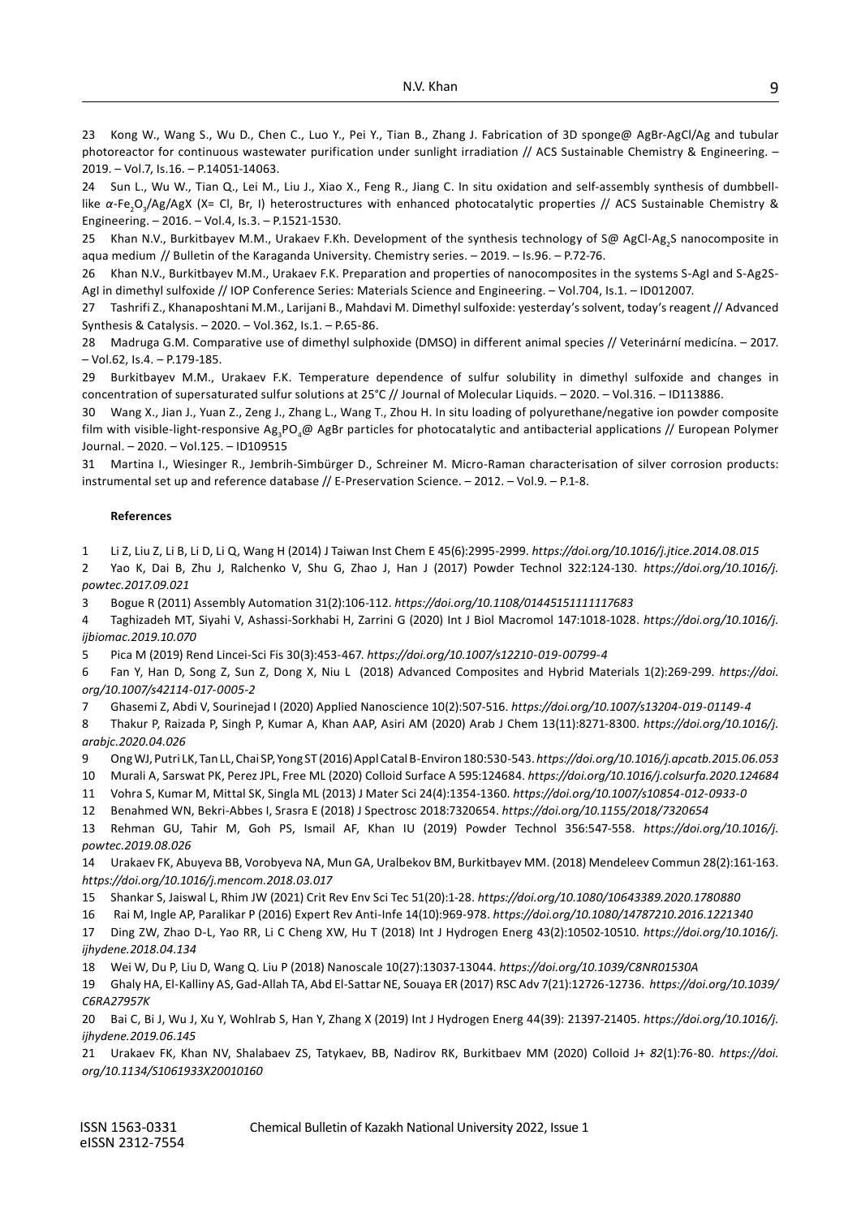23 Kong W., Wang S., Wu D., Chen C., Luo Y., Pei Y., Tian B., Zhang J. Fabrication of 3D sponge@ AgBr-AgCl/Ag and tubular photoreactor for continuous wastewater purification under sunlight irradiation // ACS Sustainable Chemistry & Engineering. -2019. – Vol.7, Is.16. – P.14051-14063.

24 Sun L., Wu W., Tian Q., Lei M., Liu J., Xiao X., Feng R., Jiang C. In situ oxidation and self-assembly synthesis of dumbbelllike α-Fe<sub>2</sub>O<sub>3</sub>/Ag/AgX (X= Cl, Br, I) heterostructures with enhanced photocatalytic properties // ACS Sustainable Chemistry & Engineering. – 2016. – Vol.4, Is.3. – P.1521-1530.

25 Khan N.V., Burkitbayev M.M., Urakaev F.Kh. Development of the synthesis technology of S@ AgCl-Ag<sub>2</sub>S nanocomposite in aqua medium // Bulletin of the Karaganda University. Chemistry series. – 2019. – Is.96. – P.72-76.

26 Khan N.V., Burkitbayev M.M., Urakaev F.K. Preparation and properties of nanocomposites in the systems S-AgI and S-Ag2S-AgI in dimethyl sulfoxide // IOP Conference Series: Materials Science and Engineering. – Vol.704, Is.1. – ID012007.

27 Tashrifi Z., Khanaposhtani M.M., Larijani B., Mahdavi M. Dimethyl sulfoxide: yesterday's solvent, today's reagent // Advanced Synthesis & Catalysis. – 2020. – Vol.362, Is.1. – P.65-86.

28 Madruga G.M. Comparative use of dimethyl sulphoxide (DMSO) in different animal species // Veterinární medicína. – 2017. – Vol.62, Is.4. – P.179-185.

29 Burkitbayev M.М., Urakaev F.K. Temperature dependence of sulfur solubility in dimethyl sulfoxide and changes in concentration of supersaturated sulfur solutions at 25°C // Journal of Molecular Liquids. – 2020. – Vol.316. – ID113886.

30 Wang X., Jian J., Yuan Z., Zeng J., Zhang L., Wang T., Zhou H. In situ loading of polyurethane/negative ion powder composite film with visible-light-responsive Ag<sub>3</sub>PO<sub>4</sub>@ AgBr particles for photocatalytic and antibacterial applications // European Polymer Journal. – 2020. – Vol.125. – ID109515

31 Martina I., Wiesinger R., Jembrih-Simbürger D., Schreiner M. Micro-Raman characterisation of silver corrosion products: instrumental set up and reference database // E-Preservation Science. – 2012. – Vol.9. – P.1-8.

#### **References**

1 Li Z, Liu Z, Li B, Li D, Li Q, Wang H (2014) J Taiwan Inst Chem E 45(6):2995-2999. *<https://doi.org/10.1016/j.jtice.2014.08.015>*

2 Yao K, Dai B, Zhu J, Ralchenko V, Shu G, Zhao J, Han J (2017) Powder Technol 322:124-130. *[https://doi.org/10.1016/j.](https://doi.org/10.1016/j.powtec.2017.09.021) [powtec.2017.09.021](https://doi.org/10.1016/j.powtec.2017.09.021)*

3 Bogue R (2011) Assembly Automation 31(2):106-112. *<https://doi.org/10.1108/01445151111117683>*

4 Taghizadeh MT, Siyahi V, Ashassi-Sorkhabi H, Zarrini G (2020) Int J Biol Macromol 147:1018-1028. *[https://doi.org/10.1016/j.](https://doi.org/10.1016/j.ijbiomac.2019.10.070) [ijbiomac.2019.10.070](https://doi.org/10.1016/j.ijbiomac.2019.10.070)*

5 Pica M (2019) Rend Lincei-Sci Fis 30(3):453-467. *<https://doi.org/10.1007/s12210-019-00799-4>*

6 Fan Y, Han D, Song Z, Sun Z, Dong X, Niu L (2018) Advanced Composites and Hybrid Materials 1(2):269-299. *[https://doi.](https://doi.org/10.1007/s42114-017-0005-2) [org/10.1007/s42114-017-0005-2](https://doi.org/10.1007/s42114-017-0005-2)*

7 Ghasemi Z, Abdi V, Sourinejad I (2020) Applied Nanoscience 10(2):507-516. *<https://doi.org/10.1007/s13204-019-01149-4>*

8 Thakur P, Raizada P, Singh P, Kumar A, Khan AAP, Asiri AM (2020) Arab J Chem 13(11):8271-8300. *[https://doi.org/10.1016/j.](https://doi.org/10.1016/j.arabjc.2020.04.026) [arabjc.2020.04.026](https://doi.org/10.1016/j.arabjc.2020.04.026)*

9 Ong WJ, Putri LK, Tan LL, Chai SP, Yong ST (2016) Appl Catal B-Environ 180:530-543.*<https://doi.org/10.1016/j.apcatb.2015.06.053>*

10 Murali A, Sarswat PK, Perez JPL, Free ML (2020) Colloid Surface A 595:124684. *<https://doi.org/10.1016/j.colsurfa.2020.124684>*

11 Vohra S, Kumar M, Mittal SK, Singla ML (2013) J Mater Sci 24(4):1354-1360. *<https://doi.org/10.1007/s10854-012-0933-0>*

12 Benahmed WN, Bekri-Abbes I, Srasra E (2018) J Spectrosc 2018:7320654. *<https://doi.org/10.1155/2018/7320654>*

13 Rehman GU, Tahir M, Goh PS, Ismail AF, Khan IU (2019) Powder Technol 356:547-558. *[https://doi.org/10.1016/j.](https://doi.org/10.1016/j.powtec.2019.08.026) [powtec.2019.08.026](https://doi.org/10.1016/j.powtec.2019.08.026)*

14 Urakaev FK, Abuyeva BB, Vorobyeva NA, Mun GA, Uralbekov BM, Burkitbayev MM. (2018) Mendeleev Commun 28(2):161-163. *<https://doi.org/10.1016/j.mencom.2018.03.017>*

15 Shankar S, Jaiswal L, Rhim JW (2021) Crit Rev Env Sci Tec 51(20):1-28.*<https://doi.org/10.1080/10643389.2020.1780880>*

16 Rai M, Ingle AP, Paralikar P (2016) Expert Rev Anti-Infe 14(10):969-978.*<https://doi.org/10.1080/14787210.2016.1221340>*

17 Ding ZW, Zhao D-L, Yao RR, Li C Cheng XW, Hu T (2018) Int J Hydrogen Energ 43(2):10502-10510. *[https://doi.org/10.1016/j.](https://doi.org/10.1016/j.ijhydene.2018.04.134) [ijhydene.2018.04.134](https://doi.org/10.1016/j.ijhydene.2018.04.134)*

18 Wei W, Du P, Liu D, Wang Q. Liu P (2018) Nanoscale 10(27):13037-13044.*<https://doi.org/10.1039/C8NR01530A>*

19 Ghaly HA, El-Kalliny AS, Gad-Allah TA, Abd El-Sattar NE, Souaya ER (2017) RSC Adv 7(21):12726-12736. *https://doi.org[/10.1039/](https://doi.org/10.1039/C6RA27957K) [C6RA27957K](https://doi.org/10.1039/C6RA27957K)*

20 Bai C, Bi J, Wu J, Xu Y, Wohlrab S, Han Y, Zhang X (2019) Int J Hydrogen Energ 44(39): 21397-21405. *[https://doi.org/10.1016/j.](https://doi.org/10.1016/j.ijhydene.2019.06.145) [ijhydene.2019.06.145](https://doi.org/10.1016/j.ijhydene.2019.06.145)*

21 Urakaev FK, Khan NV, Shalabaev ZS, Tatykaev, BB, Nadirov RK, Burkitbaev MM (2020) Colloid J+ *82*(1):76-80. *[https://doi.](https://doi.org/10.1134/S1061933X20010160) [org/10.1134/S1061933X20010160](https://doi.org/10.1134/S1061933X20010160)*